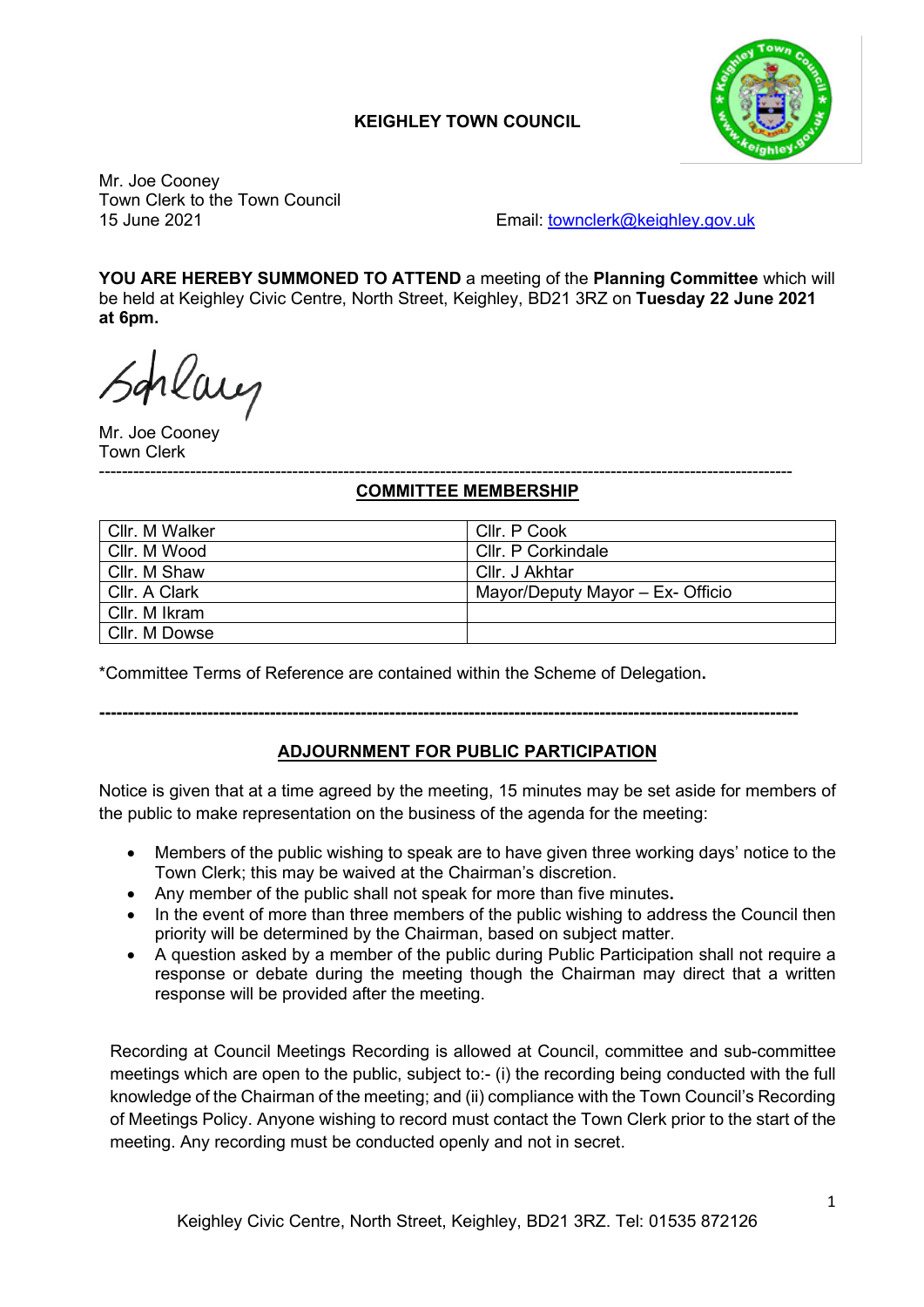### **KEIGHLEY TOWN COUNCIL**



Mr. Joe Cooney Town Clerk to the Town Council

15 June 2021 Email: [townclerk@keighley.gov.uk](mailto:townclerk@keighley.gov.uk)

**YOU ARE HEREBY SUMMONED TO ATTEND** a meeting of the **Planning Committee** which will be held at Keighley Civic Centre, North Street, Keighley, BD21 3RZ on **Tuesday 22 June 2021 at 6pm.**

placy

Mr. Joe Cooney Town Clerk

#### -------------------------------------------------------------------------------------------------------------------------- **COMMITTEE MEMBERSHIP**

| Cllr. M Walker | Cllr. P Cook                     |
|----------------|----------------------------------|
| Cllr. M Wood   | Cllr. P Corkindale               |
| Cllr. M Shaw   | Cllr. J Akhtar                   |
| Cllr. A Clark  | Mayor/Deputy Mayor - Ex- Officio |
| Cllr. M Ikram  |                                  |
| Cllr. M Dowse  |                                  |

\*Committee Terms of Reference are contained within the Scheme of Delegation**.**

### **---------------------------------------------------------------------------------------------------------------------------**

#### **ADJOURNMENT FOR PUBLIC PARTICIPATION**

Notice is given that at a time agreed by the meeting, 15 minutes may be set aside for members of the public to make representation on the business of the agenda for the meeting:

- Members of the public wishing to speak are to have given three working days' notice to the Town Clerk; this may be waived at the Chairman's discretion.
- Any member of the public shall not speak for more than five minutes**.**
- In the event of more than three members of the public wishing to address the Council then priority will be determined by the Chairman, based on subject matter.
- A question asked by a member of the public during Public Participation shall not require a response or debate during the meeting though the Chairman may direct that a written response will be provided after the meeting.

Recording at Council Meetings Recording is allowed at Council, committee and sub-committee meetings which are open to the public, subject to:- (i) the recording being conducted with the full knowledge of the Chairman of the meeting; and (ii) compliance with the Town Council's Recording of Meetings Policy. Anyone wishing to record must contact the Town Clerk prior to the start of the meeting. Any recording must be conducted openly and not in secret.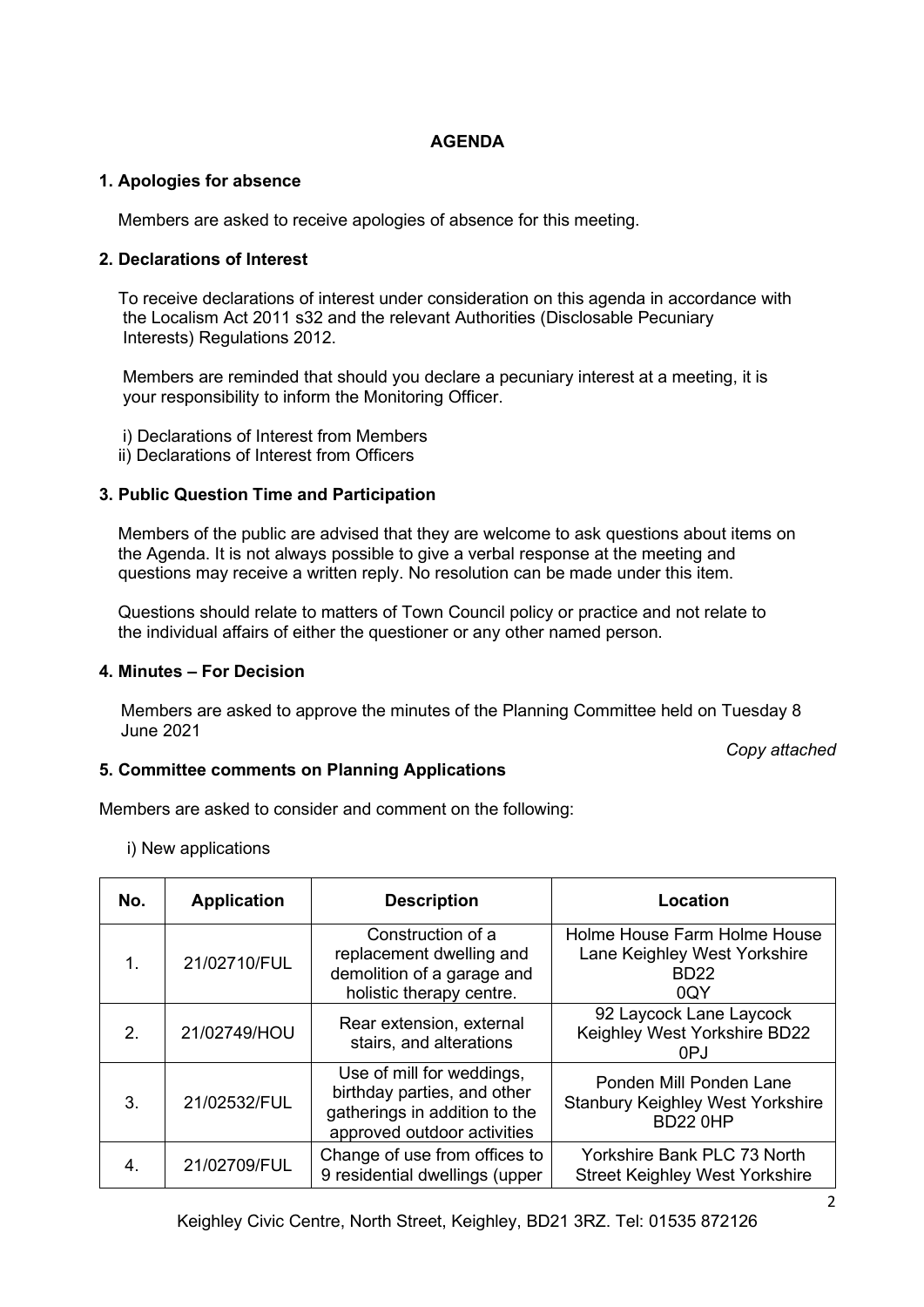#### **AGENDA**

#### **1. Apologies for absence**

Members are asked to receive apologies of absence for this meeting.

#### **2. Declarations of Interest**

 To receive declarations of interest under consideration on this agenda in accordance with the Localism Act 2011 s32 and the relevant Authorities (Disclosable Pecuniary Interests) Regulations 2012.

 Members are reminded that should you declare a pecuniary interest at a meeting, it is your responsibility to inform the Monitoring Officer.

- i) Declarations of Interest from Members
- ii) Declarations of Interest from Officers

#### **3. Public Question Time and Participation**

 Members of the public are advised that they are welcome to ask questions about items on the Agenda. It is not always possible to give a verbal response at the meeting and questions may receive a written reply. No resolution can be made under this item.

 Questions should relate to matters of Town Council policy or practice and not relate to the individual affairs of either the questioner or any other named person.

#### **4. Minutes – For Decision**

Members are asked to approve the minutes of the Planning Committee held on Tuesday 8 June 2021

*Copy attached*

#### **5. Committee comments on Planning Applications**

Members are asked to consider and comment on the following:

i) New applications

| No.           | <b>Application</b> | <b>Description</b>                                                                                                       | Location                                                                              |
|---------------|--------------------|--------------------------------------------------------------------------------------------------------------------------|---------------------------------------------------------------------------------------|
| $\mathbf 1$ . | 21/02710/FUL       | Construction of a<br>replacement dwelling and<br>demolition of a garage and<br>holistic therapy centre.                  | Holme House Farm Holme House<br>Lane Keighley West Yorkshire<br><b>BD22</b><br>0QY    |
| 2.            | 21/02749/HOU       | Rear extension, external<br>stairs, and alterations                                                                      | 92 Laycock Lane Laycock<br>Keighley West Yorkshire BD22<br>0PJ                        |
| 3.            | 21/02532/FUL       | Use of mill for weddings,<br>birthday parties, and other<br>gatherings in addition to the<br>approved outdoor activities | Ponden Mill Ponden Lane<br><b>Stanbury Keighley West Yorkshire</b><br><b>BD22 0HP</b> |
| 4.            | 21/02709/FUL       | Change of use from offices to<br>9 residential dwellings (upper                                                          | Yorkshire Bank PLC 73 North<br><b>Street Keighley West Yorkshire</b>                  |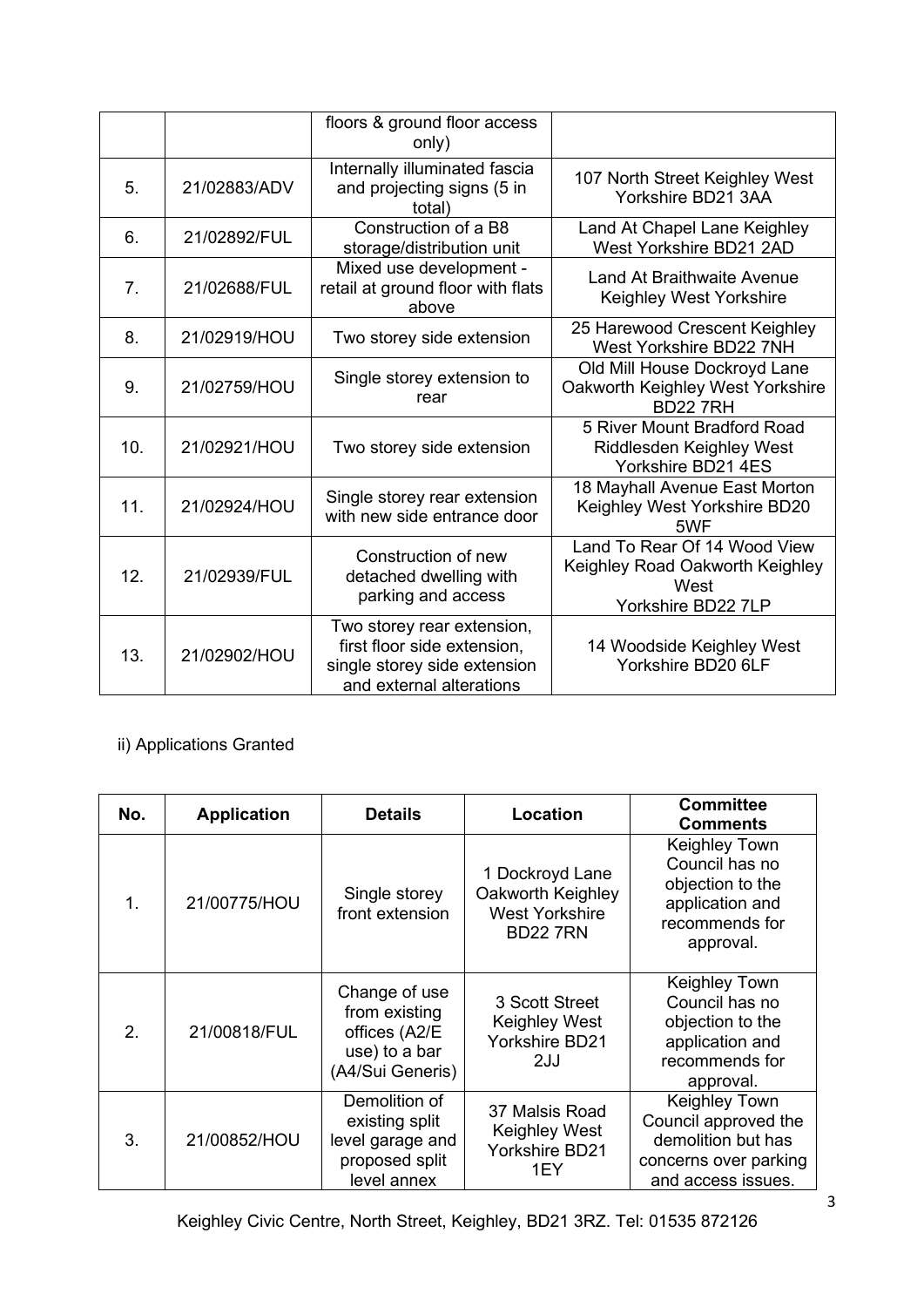|                |              | floors & ground floor access<br>only)                                                                                 |                                                                                               |
|----------------|--------------|-----------------------------------------------------------------------------------------------------------------------|-----------------------------------------------------------------------------------------------|
| 5.             | 21/02883/ADV | Internally illuminated fascia<br>and projecting signs (5 in<br>total)                                                 | 107 North Street Keighley West<br>Yorkshire BD21 3AA                                          |
| 6.             | 21/02892/FUL | Construction of a B8<br>storage/distribution unit                                                                     | Land At Chapel Lane Keighley<br>West Yorkshire BD21 2AD                                       |
| 7 <sub>1</sub> | 21/02688/FUL | Mixed use development -<br>retail at ground floor with flats<br>above                                                 | <b>Land At Braithwaite Avenue</b><br>Keighley West Yorkshire                                  |
| 8.             | 21/02919/HOU | Two storey side extension                                                                                             | 25 Harewood Crescent Keighley<br>West Yorkshire BD22 7NH                                      |
| 9.             | 21/02759/HOU | Single storey extension to<br>rear                                                                                    | Old Mill House Dockroyd Lane<br>Oakworth Keighley West Yorkshire<br><b>BD22 7RH</b>           |
| 10.            | 21/02921/HOU | Two storey side extension                                                                                             | 5 River Mount Bradford Road<br>Riddlesden Keighley West<br>Yorkshire BD21 4ES                 |
| 11.            | 21/02924/HOU | Single storey rear extension<br>with new side entrance door                                                           | 18 Mayhall Avenue East Morton<br>Keighley West Yorkshire BD20<br>5WF                          |
| 12.            | 21/02939/FUL | Construction of new<br>detached dwelling with<br>parking and access                                                   | Land To Rear Of 14 Wood View<br>Keighley Road Oakworth Keighley<br>West<br>Yorkshire BD22 7LP |
| 13.            | 21/02902/HOU | Two storey rear extension,<br>first floor side extension,<br>single storey side extension<br>and external alterations | 14 Woodside Keighley West<br>Yorkshire BD20 6LF                                               |

# ii) Applications Granted

| No.           | <b>Application</b> | <b>Details</b>                                                                       | Location                                                                         | <b>Committee</b><br><b>Comments</b>                                                                               |
|---------------|--------------------|--------------------------------------------------------------------------------------|----------------------------------------------------------------------------------|-------------------------------------------------------------------------------------------------------------------|
| $\mathbf 1$ . | 21/00775/HOU       | Single storey<br>front extension                                                     | 1 Dockroyd Lane<br>Oakworth Keighley<br><b>West Yorkshire</b><br><b>BD22 7RN</b> | <b>Keighley Town</b><br>Council has no<br>objection to the<br>application and<br>recommends for<br>approval.      |
| 2.            | 21/00818/FUL       | Change of use<br>from existing<br>offices (A2/E<br>use) to a bar<br>(A4/Sui Generis) | 3 Scott Street<br><b>Keighley West</b><br><b>Yorkshire BD21</b><br>2JJ           | <b>Keighley Town</b><br>Council has no<br>objection to the<br>application and<br>recommends for<br>approval.      |
| 3.            | 21/00852/HOU       | Demolition of<br>existing split<br>level garage and<br>proposed split<br>level annex | 37 Malsis Road<br>Keighley West<br><b>Yorkshire BD21</b><br>1EY                  | <b>Keighley Town</b><br>Council approved the<br>demolition but has<br>concerns over parking<br>and access issues. |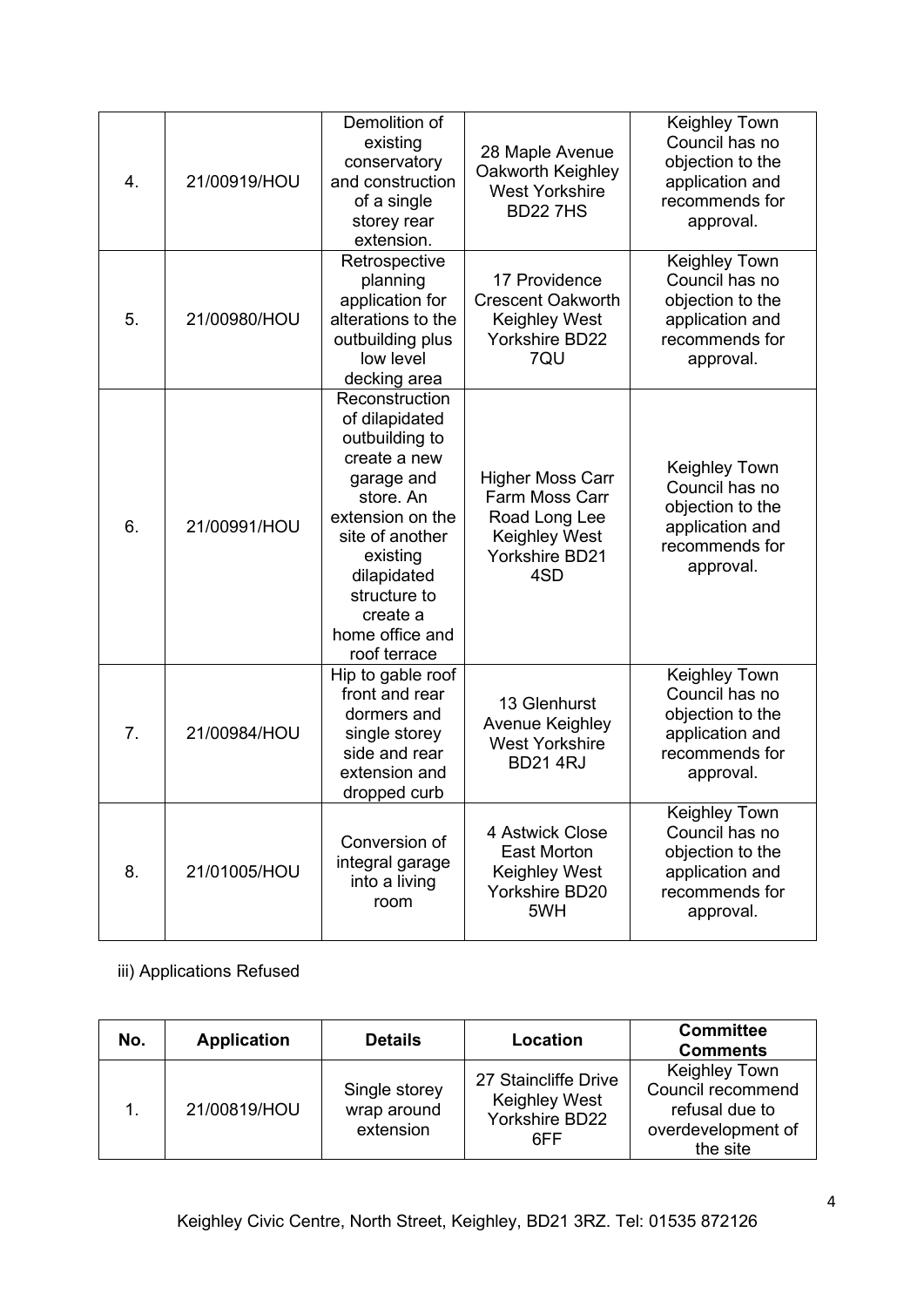| 4. | 21/00919/HOU | Demolition of<br>existing<br>conservatory<br>and construction<br>of a single<br>storey rear<br>extension.                                                                                                                      | 28 Maple Avenue<br>Oakworth Keighley<br><b>West Yorkshire</b><br><b>BD227HS</b>                             | Keighley Town<br>Council has no<br>objection to the<br>application and<br>recommends for<br>approval.        |
|----|--------------|--------------------------------------------------------------------------------------------------------------------------------------------------------------------------------------------------------------------------------|-------------------------------------------------------------------------------------------------------------|--------------------------------------------------------------------------------------------------------------|
| 5. | 21/00980/HOU | Retrospective<br>planning<br>application for<br>alterations to the<br>outbuilding plus<br>low level<br>decking area                                                                                                            | 17 Providence<br><b>Crescent Oakworth</b><br>Keighley West<br><b>Yorkshire BD22</b><br>7QU                  | Keighley Town<br>Council has no<br>objection to the<br>application and<br>recommends for<br>approval.        |
| 6. | 21/00991/HOU | Reconstruction<br>of dilapidated<br>outbuilding to<br>create a new<br>garage and<br>store. An<br>extension on the<br>site of another<br>existing<br>dilapidated<br>structure to<br>create a<br>home office and<br>roof terrace | <b>Higher Moss Carr</b><br>Farm Moss Carr<br>Road Long Lee<br>Keighley West<br><b>Yorkshire BD21</b><br>4SD | <b>Keighley Town</b><br>Council has no<br>objection to the<br>application and<br>recommends for<br>approval. |
| 7. | 21/00984/HOU | Hip to gable roof<br>front and rear<br>dormers and<br>single storey<br>side and rear<br>extension and<br>dropped curb                                                                                                          | 13 Glenhurst<br>Avenue Keighley<br><b>West Yorkshire</b><br><b>BD214RJ</b>                                  | Keighley Town<br>Council has no<br>objection to the<br>application and<br>recommends for<br>approval.        |
| 8. | 21/01005/HOU | Conversion of<br>integral garage<br>into a living<br>room                                                                                                                                                                      | 4 Astwick Close<br><b>East Morton</b><br>Keighley West<br>Yorkshire BD20<br>5WH                             | Keighley Town<br>Council has no<br>objection to the<br>application and<br>recommends for<br>approval.        |

# iii) Applications Refused

| No. | <b>Application</b> | <b>Details</b>                            | Location                                                              | <b>Committee</b><br><b>Comments</b>                                                           |
|-----|--------------------|-------------------------------------------|-----------------------------------------------------------------------|-----------------------------------------------------------------------------------------------|
|     | 21/00819/HOU       | Single storey<br>wrap around<br>extension | 27 Staincliffe Drive<br><b>Keighley West</b><br>Yorkshire BD22<br>6FF | <b>Keighley Town</b><br>Council recommend<br>refusal due to<br>overdevelopment of<br>the site |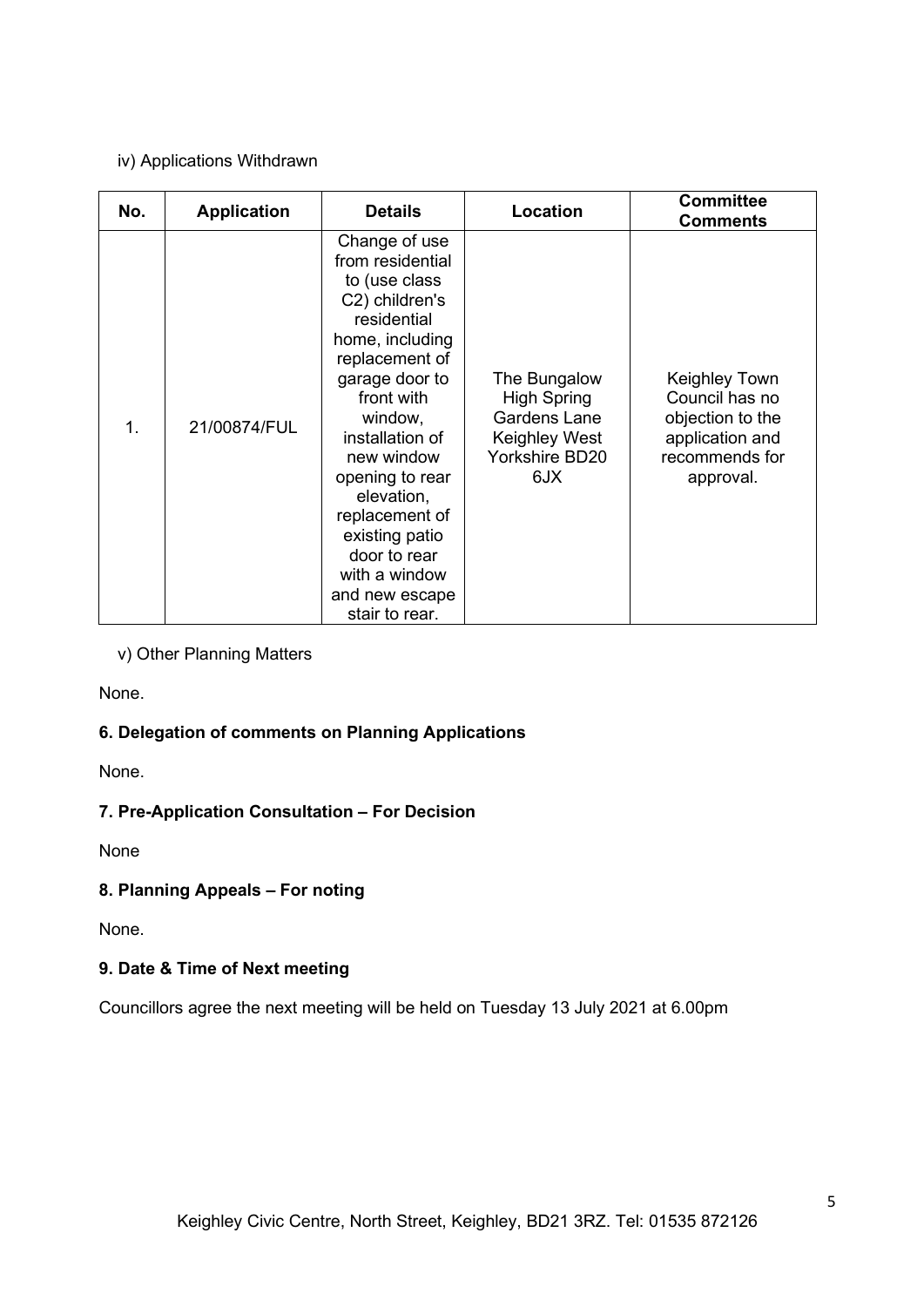#### iv) Applications Withdrawn

| No.           | <b>Application</b> | <b>Details</b>                                                                                                                                                                                                                                                                                                                                 | Location                                                                                            | <b>Committee</b><br><b>Comments</b>                                                                   |
|---------------|--------------------|------------------------------------------------------------------------------------------------------------------------------------------------------------------------------------------------------------------------------------------------------------------------------------------------------------------------------------------------|-----------------------------------------------------------------------------------------------------|-------------------------------------------------------------------------------------------------------|
| $\mathbf 1$ . | 21/00874/FUL       | Change of use<br>from residential<br>to (use class<br>C2) children's<br>residential<br>home, including<br>replacement of<br>garage door to<br>front with<br>window,<br>installation of<br>new window<br>opening to rear<br>elevation,<br>replacement of<br>existing patio<br>door to rear<br>with a window<br>and new escape<br>stair to rear. | The Bungalow<br><b>High Spring</b><br><b>Gardens Lane</b><br>Keighley West<br>Yorkshire BD20<br>6JX | Keighley Town<br>Council has no<br>objection to the<br>application and<br>recommends for<br>approval. |

v) Other Planning Matters

None.

### **6. Delegation of comments on Planning Applications**

None.

### **7. Pre-Application Consultation – For Decision**

None

### **8. Planning Appeals – For noting**

None.

## **9. Date & Time of Next meeting**

Councillors agree the next meeting will be held on Tuesday 13 July 2021 at 6.00pm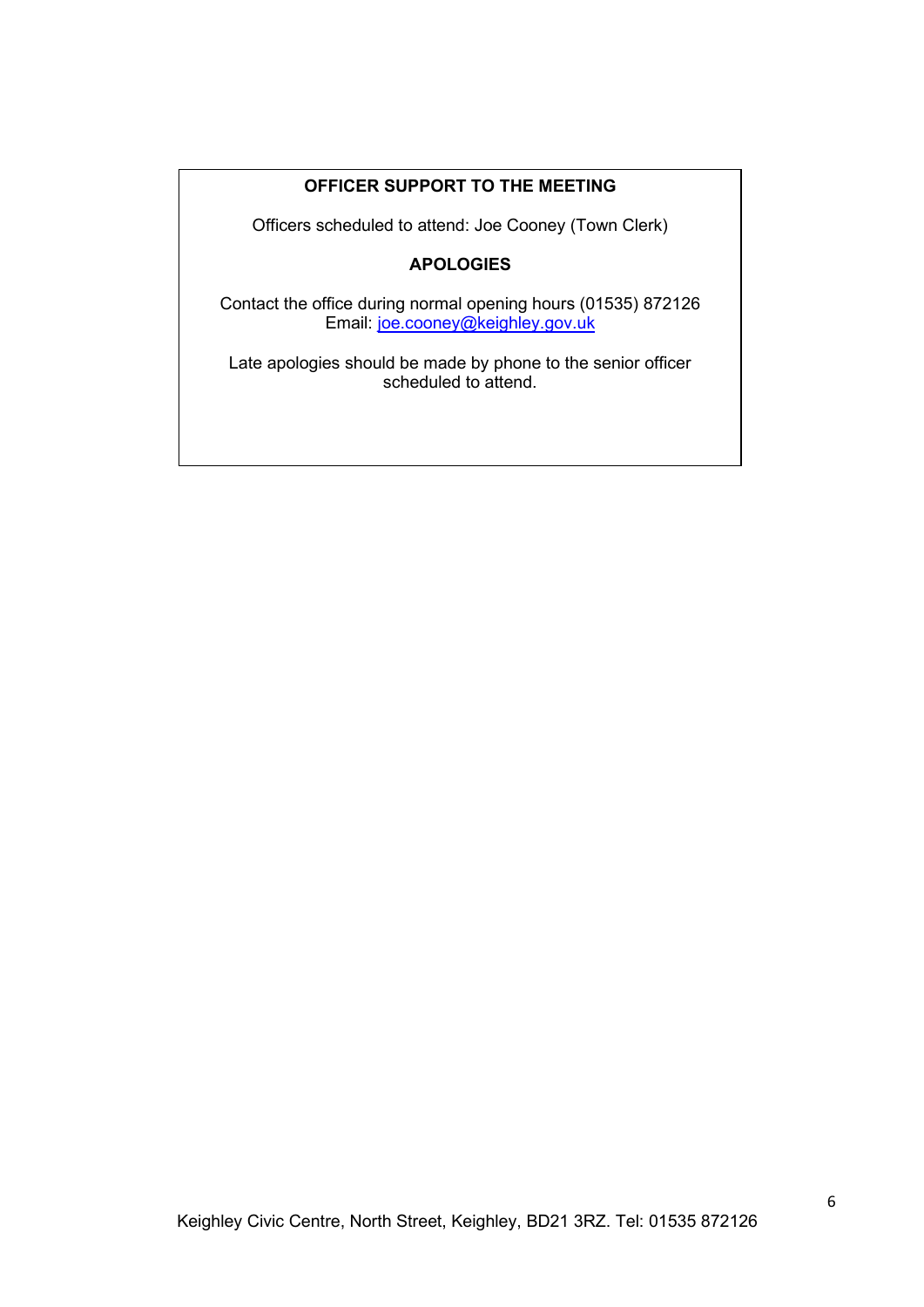### **OFFICER SUPPORT TO THE MEETING**

Officers scheduled to attend: Joe Cooney (Town Clerk)

### **APOLOGIES**

Contact the office during normal opening hours (01535) 872126 Email: [joe.cooney@keighley.gov.uk](mailto:joe.cooney@keighley.gov.uk) 

Late apologies should be made by phone to the senior officer scheduled to attend.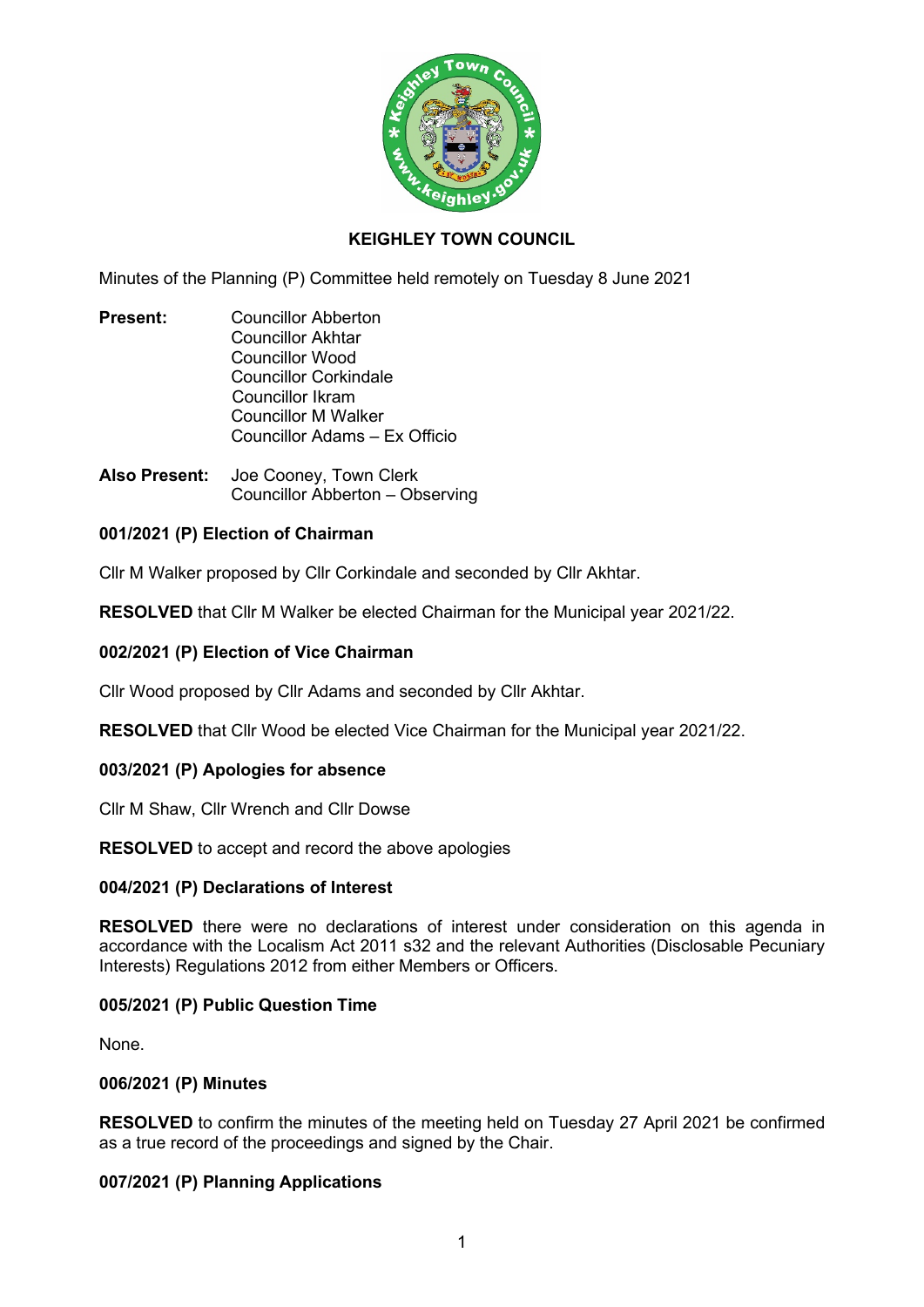

### **KEIGHLEY TOWN COUNCIL**

Minutes of the Planning (P) Committee held remotely on Tuesday 8 June 2021

- **Present:** Councillor Abberton Councillor Akhtar Councillor Wood Councillor Corkindale Councillor Ikram Councillor M Walker Councillor Adams – Ex Officio
- **Also Present:** Joe Cooney, Town Clerk Councillor Abberton – Observing

#### **001/2021 (P) Election of Chairman**

Cllr M Walker proposed by Cllr Corkindale and seconded by Cllr Akhtar.

**RESOLVED** that Cllr M Walker be elected Chairman for the Municipal year 2021/22.

#### **002/2021 (P) Election of Vice Chairman**

Cllr Wood proposed by Cllr Adams and seconded by Cllr Akhtar.

**RESOLVED** that Cllr Wood be elected Vice Chairman for the Municipal year 2021/22.

#### **003/2021 (P) Apologies for absence**

Cllr M Shaw, Cllr Wrench and Cllr Dowse

**RESOLVED** to accept and record the above apologies

#### **004/2021 (P) Declarations of Interest**

**RESOLVED** there were no declarations of interest under consideration on this agenda in accordance with the Localism Act 2011 s32 and the relevant Authorities (Disclosable Pecuniary Interests) Regulations 2012 from either Members or Officers.

#### **005/2021 (P) Public Question Time**

None.

#### **006/2021 (P) Minutes**

**RESOLVED** to confirm the minutes of the meeting held on Tuesday 27 April 2021 be confirmed as a true record of the proceedings and signed by the Chair.

### **007/2021 (P) Planning Applications**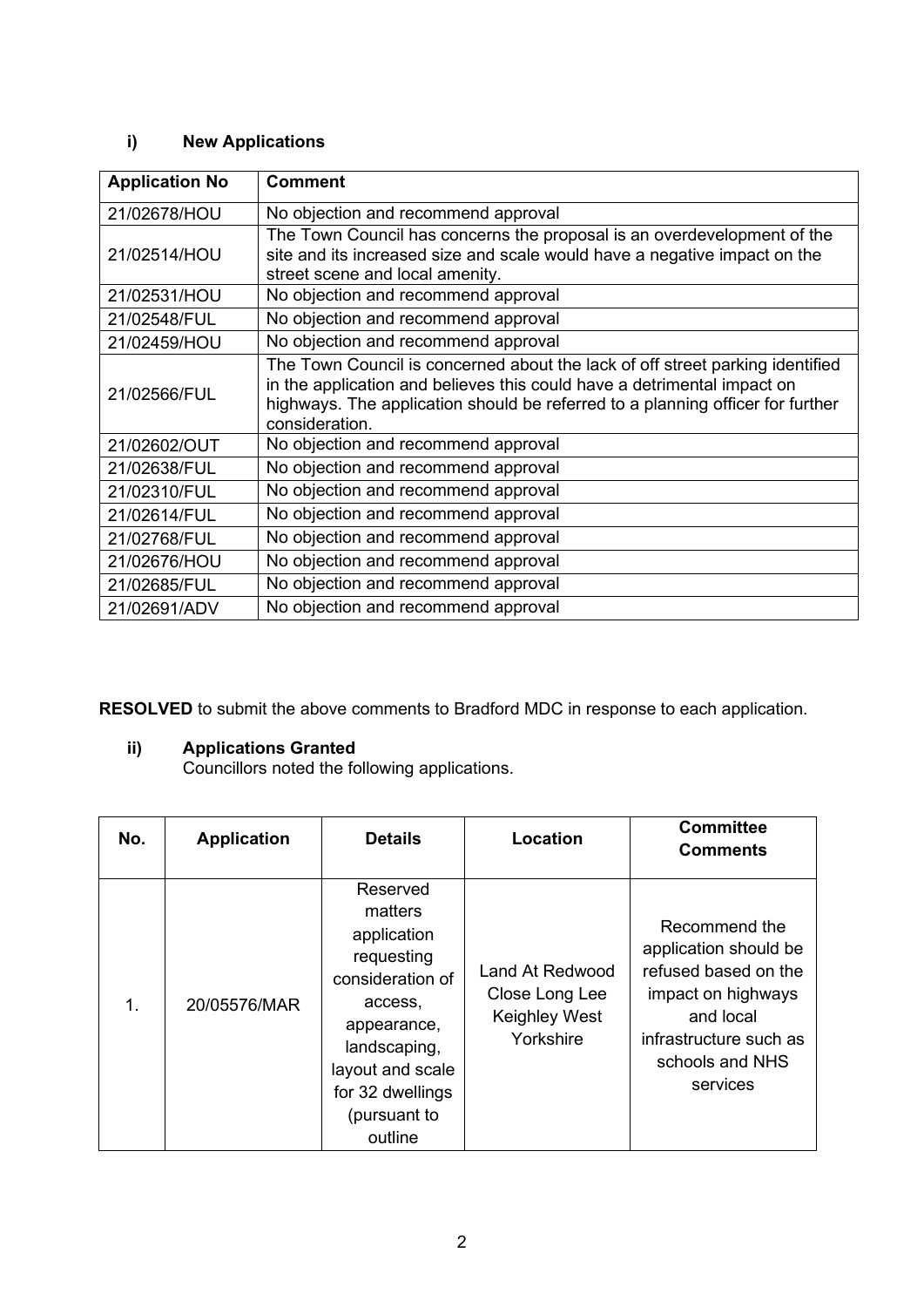## **i) New Applications**

| <b>Application No</b> | <b>Comment</b>                                                                                                                                                                                                                                               |
|-----------------------|--------------------------------------------------------------------------------------------------------------------------------------------------------------------------------------------------------------------------------------------------------------|
| 21/02678/HOU          | No objection and recommend approval                                                                                                                                                                                                                          |
| 21/02514/HOU          | The Town Council has concerns the proposal is an overdevelopment of the<br>site and its increased size and scale would have a negative impact on the<br>street scene and local amenity.                                                                      |
| 21/02531/HOU          | No objection and recommend approval                                                                                                                                                                                                                          |
| 21/02548/FUL          | No objection and recommend approval                                                                                                                                                                                                                          |
| 21/02459/HOU          | No objection and recommend approval                                                                                                                                                                                                                          |
| 21/02566/FUL          | The Town Council is concerned about the lack of off street parking identified<br>in the application and believes this could have a detrimental impact on<br>highways. The application should be referred to a planning officer for further<br>consideration. |
| 21/02602/OUT          | No objection and recommend approval                                                                                                                                                                                                                          |
| 21/02638/FUL          | No objection and recommend approval                                                                                                                                                                                                                          |
| 21/02310/FUL          | No objection and recommend approval                                                                                                                                                                                                                          |
| 21/02614/FUL          | No objection and recommend approval                                                                                                                                                                                                                          |
| 21/02768/FUL          | No objection and recommend approval                                                                                                                                                                                                                          |
| 21/02676/HOU          | No objection and recommend approval                                                                                                                                                                                                                          |
| 21/02685/FUL          | No objection and recommend approval                                                                                                                                                                                                                          |
| 21/02691/ADV          | No objection and recommend approval                                                                                                                                                                                                                          |

**RESOLVED** to submit the above comments to Bradford MDC in response to each application.

### **ii) Applications Granted**

Councillors noted the following applications.

| No. | <b>Application</b> | <b>Details</b>                                                                                                                                                                    | <b>Location</b>                                                 | <b>Committee</b><br><b>Comments</b>                                                                                                                        |
|-----|--------------------|-----------------------------------------------------------------------------------------------------------------------------------------------------------------------------------|-----------------------------------------------------------------|------------------------------------------------------------------------------------------------------------------------------------------------------------|
| 1.  | 20/05576/MAR       | Reserved<br>matters<br>application<br>requesting<br>consideration of<br>access,<br>appearance,<br>landscaping,<br>layout and scale<br>for 32 dwellings<br>(pursuant to<br>outline | Land At Redwood<br>Close Long Lee<br>Keighley West<br>Yorkshire | Recommend the<br>application should be<br>refused based on the<br>impact on highways<br>and local<br>infrastructure such as<br>schools and NHS<br>services |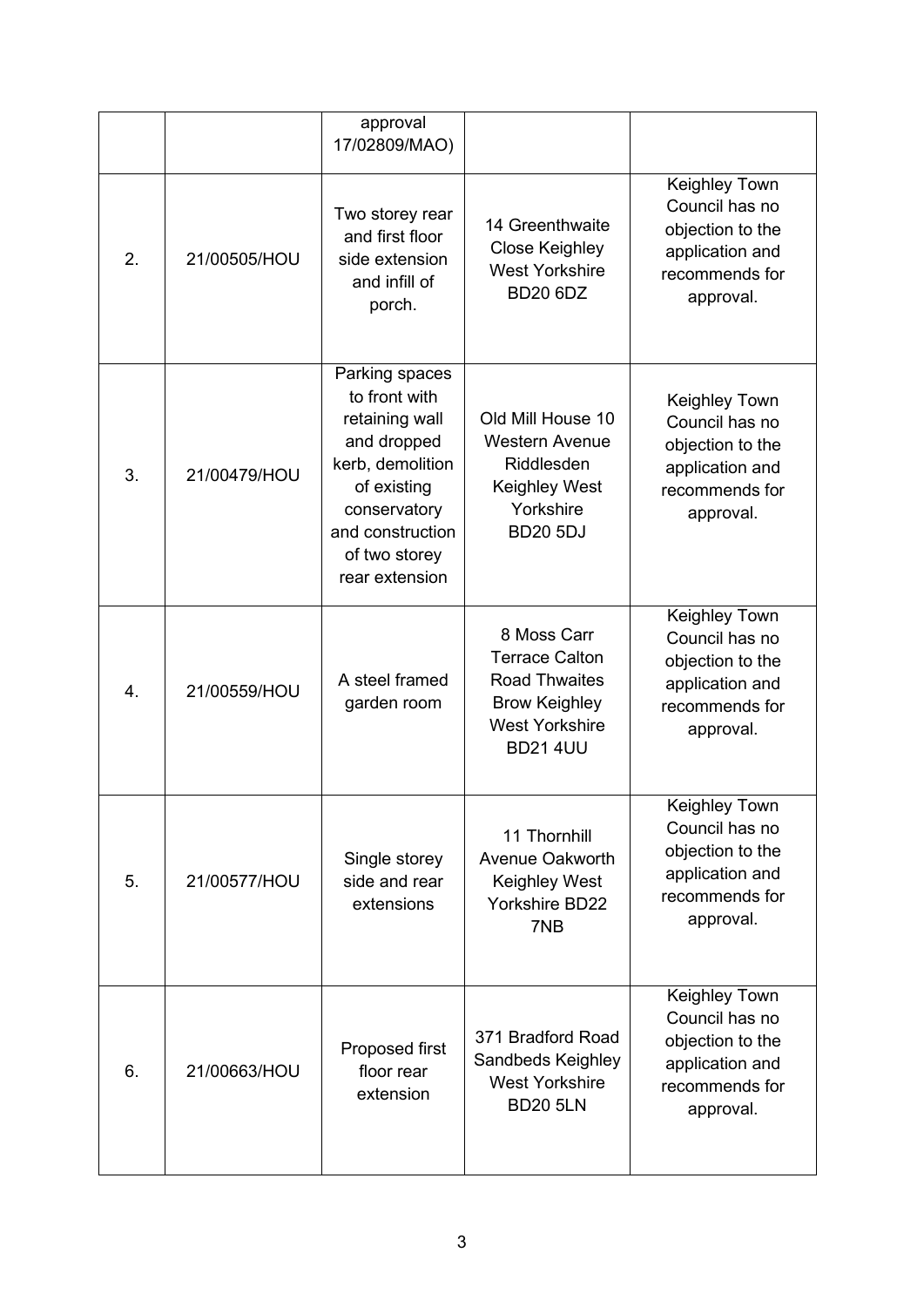|    |              | approval<br>17/02809/MAO)                                                                                                                                                  |                                                                                                                                  |                                                                                                       |
|----|--------------|----------------------------------------------------------------------------------------------------------------------------------------------------------------------------|----------------------------------------------------------------------------------------------------------------------------------|-------------------------------------------------------------------------------------------------------|
| 2. | 21/00505/HOU | Two storey rear<br>and first floor<br>side extension<br>and infill of<br>porch.                                                                                            | 14 Greenthwaite<br>Close Keighley<br><b>West Yorkshire</b><br><b>BD20 6DZ</b>                                                    | Keighley Town<br>Council has no<br>objection to the<br>application and<br>recommends for<br>approval. |
| 3. | 21/00479/HOU | Parking spaces<br>to front with<br>retaining wall<br>and dropped<br>kerb, demolition<br>of existing<br>conservatory<br>and construction<br>of two storey<br>rear extension | Old Mill House 10<br><b>Western Avenue</b><br>Riddlesden<br><b>Keighley West</b><br>Yorkshire<br><b>BD20 5DJ</b>                 | Keighley Town<br>Council has no<br>objection to the<br>application and<br>recommends for<br>approval. |
| 4. | 21/00559/HOU | A steel framed<br>garden room                                                                                                                                              | 8 Moss Carr<br><b>Terrace Calton</b><br><b>Road Thwaites</b><br><b>Brow Keighley</b><br><b>West Yorkshire</b><br><b>BD21 4UU</b> | Keighley Town<br>Council has no<br>objection to the<br>application and<br>recommends for<br>approval. |
| 5. | 21/00577/HOU | Single storey<br>side and rear<br>extensions                                                                                                                               | 11 Thornhill<br><b>Avenue Oakworth</b><br><b>Keighley West</b><br>Yorkshire BD22<br>7NB                                          | Keighley Town<br>Council has no<br>objection to the<br>application and<br>recommends for<br>approval. |
| 6. | 21/00663/HOU | Proposed first<br>floor rear<br>extension                                                                                                                                  | 371 Bradford Road<br>Sandbeds Keighley<br><b>West Yorkshire</b><br><b>BD20 5LN</b>                                               | Keighley Town<br>Council has no<br>objection to the<br>application and<br>recommends for<br>approval. |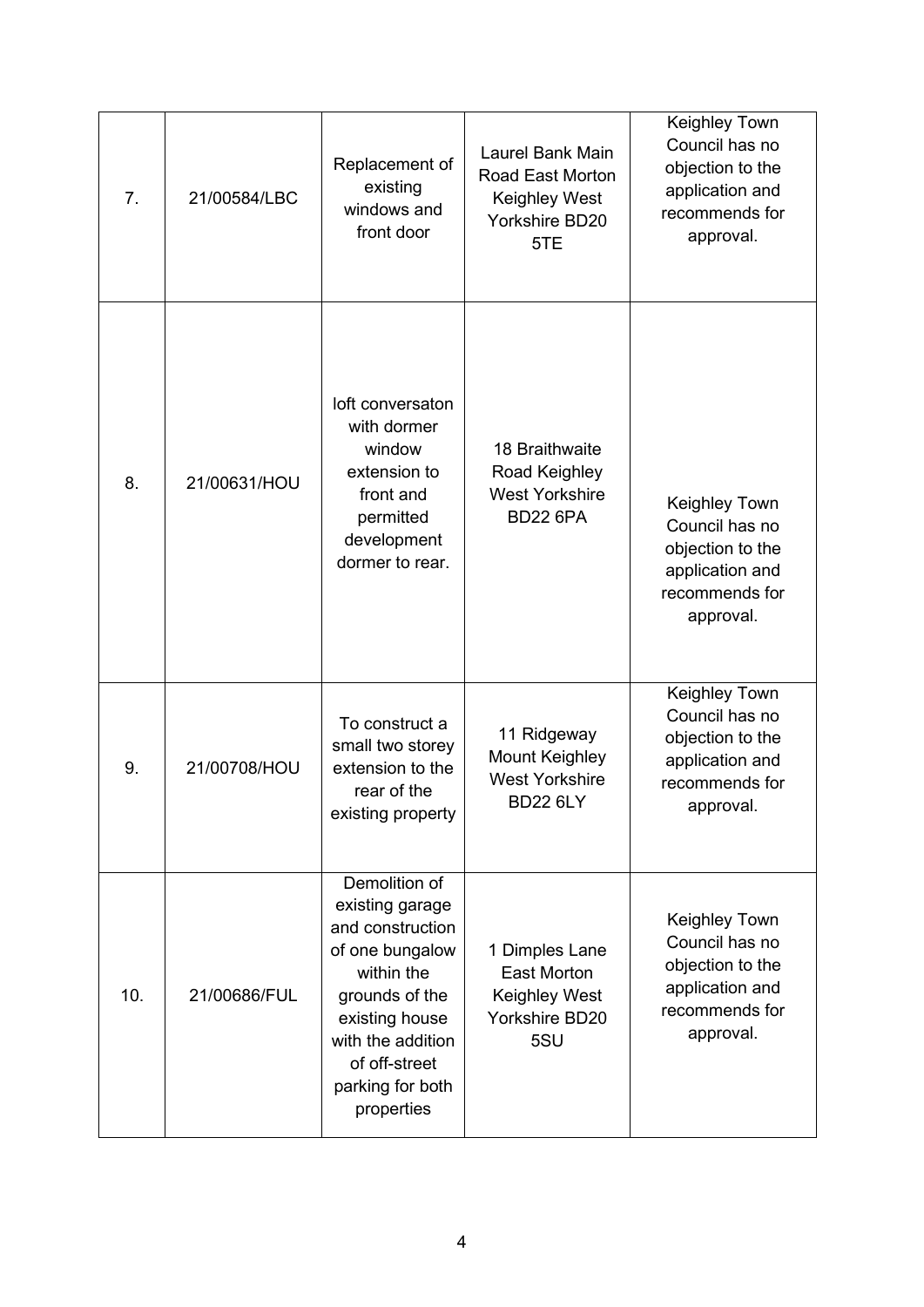| 7.  | 21/00584/LBC | Replacement of<br>existing<br>windows and<br>front door                                                                                                                                           | Laurel Bank Main<br>Road East Morton<br><b>Keighley West</b><br>Yorkshire BD20<br>5TE | Keighley Town<br>Council has no<br>objection to the<br>application and<br>recommends for<br>approval. |
|-----|--------------|---------------------------------------------------------------------------------------------------------------------------------------------------------------------------------------------------|---------------------------------------------------------------------------------------|-------------------------------------------------------------------------------------------------------|
| 8.  | 21/00631/HOU | loft conversaton<br>with dormer<br>window<br>extension to<br>front and<br>permitted<br>development<br>dormer to rear.                                                                             | 18 Braithwaite<br>Road Keighley<br><b>West Yorkshire</b><br><b>BD22 6PA</b>           | Keighley Town<br>Council has no<br>objection to the<br>application and<br>recommends for<br>approval. |
| 9.  | 21/00708/HOU | To construct a<br>small two storey<br>extension to the<br>rear of the<br>existing property                                                                                                        | 11 Ridgeway<br><b>Mount Keighley</b><br><b>West Yorkshire</b><br><b>BD22 6LY</b>      | Keighley Town<br>Council has no<br>objection to the<br>application and<br>recommends for<br>approval. |
| 10. | 21/00686/FUL | Demolition of<br>existing garage<br>and construction<br>of one bungalow<br>within the<br>grounds of the<br>existing house<br>with the addition<br>of off-street<br>parking for both<br>properties | 1 Dimples Lane<br><b>East Morton</b><br><b>Keighley West</b><br>Yorkshire BD20<br>5SU | Keighley Town<br>Council has no<br>objection to the<br>application and<br>recommends for<br>approval. |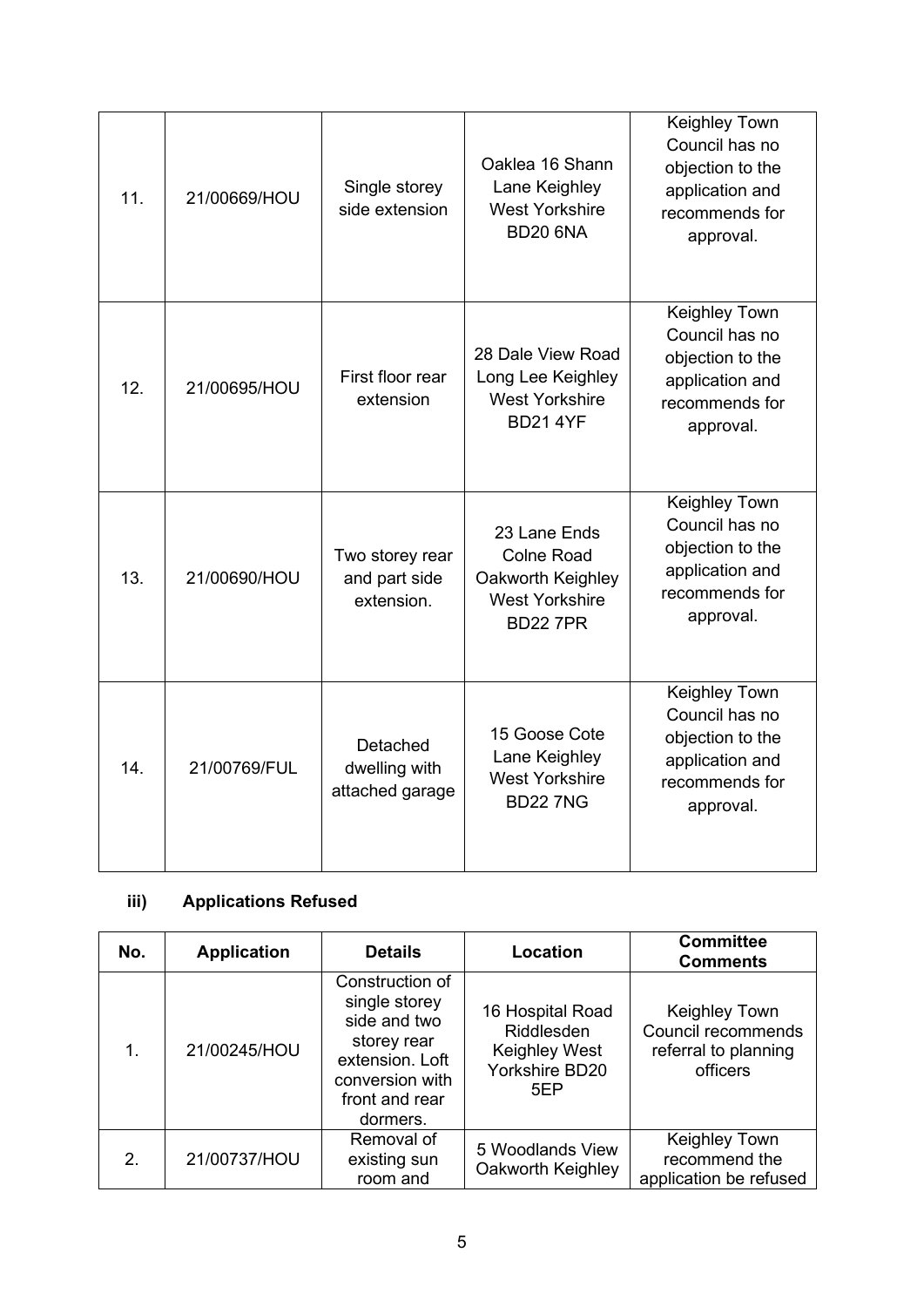| 11. | 21/00669/HOU | Single storey<br>side extension                | Oaklea 16 Shann<br>Lane Keighley<br><b>West Yorkshire</b><br><b>BD20 6NA</b>                       | Keighley Town<br>Council has no<br>objection to the<br>application and<br>recommends for<br>approval. |
|-----|--------------|------------------------------------------------|----------------------------------------------------------------------------------------------------|-------------------------------------------------------------------------------------------------------|
| 12. | 21/00695/HOU | First floor rear<br>extension                  | 28 Dale View Road<br>Long Lee Keighley<br><b>West Yorkshire</b><br><b>BD21 4YF</b>                 | Keighley Town<br>Council has no<br>objection to the<br>application and<br>recommends for<br>approval. |
| 13. | 21/00690/HOU | Two storey rear<br>and part side<br>extension. | 23 Lane Ends<br><b>Colne Road</b><br>Oakworth Keighley<br><b>West Yorkshire</b><br><b>BD22 7PR</b> | Keighley Town<br>Council has no<br>objection to the<br>application and<br>recommends for<br>approval. |
| 14. | 21/00769/FUL | Detached<br>dwelling with<br>attached garage   | 15 Goose Cote<br>Lane Keighley<br><b>West Yorkshire</b><br><b>BD227NG</b>                          | Keighley Town<br>Council has no<br>objection to the<br>application and<br>recommends for<br>approval. |

# **iii) Applications Refused**

| No.           | <b>Application</b> | <b>Details</b>                                                                                                                      | Location                                                                               | <b>Committee</b><br><b>Comments</b>                                     |
|---------------|--------------------|-------------------------------------------------------------------------------------------------------------------------------------|----------------------------------------------------------------------------------------|-------------------------------------------------------------------------|
| 1.            | 21/00245/HOU       | Construction of<br>single storey<br>side and two<br>storey rear<br>extension. Loft<br>conversion with<br>front and rear<br>dormers. | 16 Hospital Road<br><b>Riddlesden</b><br><b>Keighley West</b><br>Yorkshire BD20<br>5EP | Keighley Town<br>Council recommends<br>referral to planning<br>officers |
| $\mathcal{P}$ | 21/00737/HOU       | Removal of<br>existing sun<br>room and                                                                                              | 5 Woodlands View<br>Oakworth Keighley                                                  | Keighley Town<br>recommend the<br>application be refused                |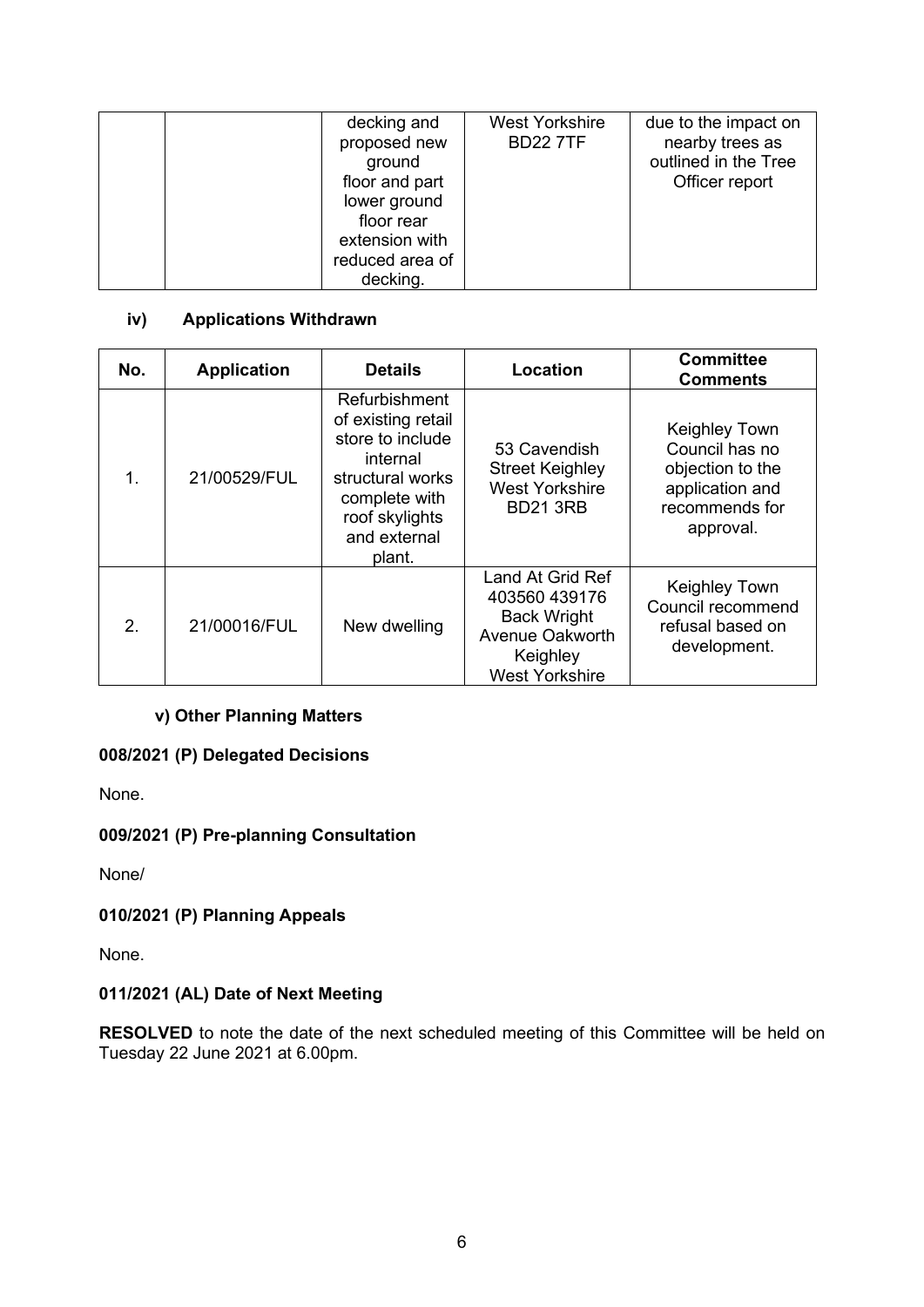| decking and<br>proposed new<br>ground<br>floor and part<br>lower ground<br>floor rear | <b>West Yorkshire</b><br><b>BD227TF</b> | due to the impact on<br>nearby trees as<br>outlined in the Tree<br>Officer report |
|---------------------------------------------------------------------------------------|-----------------------------------------|-----------------------------------------------------------------------------------|
| extension with                                                                        |                                         |                                                                                   |
| reduced area of<br>decking.                                                           |                                         |                                                                                   |

## **iv) Applications Withdrawn**

| No.         | <b>Application</b> | <b>Details</b>                                                                                                                                       | <b>Location</b>                                                                                                        | <b>Committee</b><br><b>Comments</b>                                                                   |
|-------------|--------------------|------------------------------------------------------------------------------------------------------------------------------------------------------|------------------------------------------------------------------------------------------------------------------------|-------------------------------------------------------------------------------------------------------|
| $\mathbf 1$ | 21/00529/FUL       | Refurbishment<br>of existing retail<br>store to include<br>internal<br>structural works<br>complete with<br>roof skylights<br>and external<br>plant. | 53 Cavendish<br><b>Street Keighley</b><br><b>West Yorkshire</b><br><b>BD21 3RB</b>                                     | Keighley Town<br>Council has no<br>objection to the<br>application and<br>recommends for<br>approval. |
| $2_{-}$     | 21/00016/FUL       | New dwelling                                                                                                                                         | Land At Grid Ref<br>403560 439176<br><b>Back Wright</b><br><b>Avenue Oakworth</b><br>Keighley<br><b>West Yorkshire</b> | Keighley Town<br>Council recommend<br>refusal based on<br>development.                                |

### **v) Other Planning Matters**

### **008/2021 (P) Delegated Decisions**

None.

### **009/2021 (P) Pre-planning Consultation**

None/

### **010/2021 (P) Planning Appeals**

None.

### **011/2021 (AL) Date of Next Meeting**

**RESOLVED** to note the date of the next scheduled meeting of this Committee will be held on Tuesday 22 June 2021 at 6.00pm.